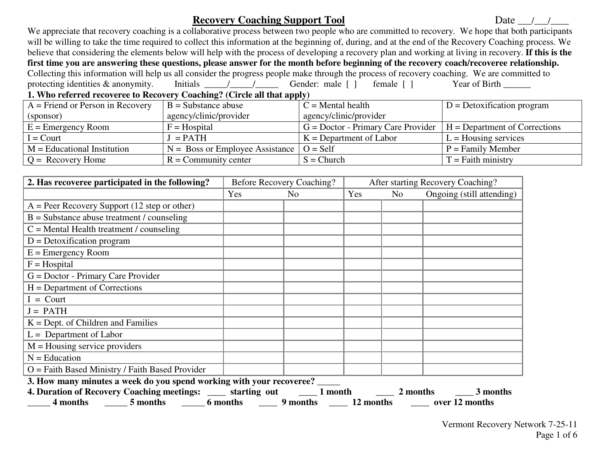# **Recovery Coaching Support Tool** Date  $\frac{1}{2}$

 We appreciate that recovery coaching is a collaborative process between two people who are committed to recovery. We hope that both participants will be willing to take the time required to collect this information at the beginning of, during, and at the end of the Recovery Coaching process. We believe that considering the elements below will help with the process of developing a recovery plan and working at living in recovery. **If this is the first time you are answering these questions, please answer for the month before beginning of the recovery coach/recoveree relationship.** Collecting this information will help us all consider the progress people make through the process of recovery coaching. We are committed to protecting identities & anonymity. Initials  $\frac{1}{\sqrt{1-\frac{1}{n}}}$  Gender: male  $\lceil \cdot \rceil$  female  $\lceil \cdot \rceil$  Year of Birth  $\frac{1}{\sqrt{1-\frac{1}{n}}}$ **1. Who referred recoveree to Recovery Coaching? (Circle all that apply)** 

| $A =$ Friend or Person in Recovery | $B =$ Substance abuse                              | $C =$ Mental health                    | $D =$ Detoxification program    |  |  |  |  |
|------------------------------------|----------------------------------------------------|----------------------------------------|---------------------------------|--|--|--|--|
| (sponsor)                          | agency/clinic/provider                             | agency/clinic/provider                 |                                 |  |  |  |  |
| $E =$ Emergency Room               | $F = Hospital$                                     | $G = Doctor - Primary Care Providence$ | $H = Department of Corrections$ |  |  |  |  |
| $I =$ Court                        | $=$ PATH                                           | $K = Department of Labor$              | $L =$ Housing services          |  |  |  |  |
| $M =$ Educational Institution      | $N =$ Boss or Employee Assistance $\vert O =$ Self |                                        | $P =$ Family Member             |  |  |  |  |
| $Q =$ Recovery Home                | $R =$ Community center                             | $S = Church$                           | $T =$ Faith ministry            |  |  |  |  |

| 2. Has recoveree participated in the following?                                                             |     | Before Recovery Coaching? |     |     | After starting Recovery Coaching? |
|-------------------------------------------------------------------------------------------------------------|-----|---------------------------|-----|-----|-----------------------------------|
|                                                                                                             | Yes | N <sub>0</sub>            | Yes | No. | Ongoing (still attending)         |
| $A = Peer Recovery Support (12 step or other)$                                                              |     |                           |     |     |                                   |
| $B =$ Substance abuse treatment / counseling                                                                |     |                           |     |     |                                   |
| $C =$ Mental Health treatment / counseling                                                                  |     |                           |     |     |                                   |
| $D =$ Detoxification program                                                                                |     |                           |     |     |                                   |
| $E =$ Emergency Room                                                                                        |     |                           |     |     |                                   |
| $F = Hospital$                                                                                              |     |                           |     |     |                                   |
| $G = Doctor - Primary Care Providence$                                                                      |     |                           |     |     |                                   |
| $H = Department of Corrections$                                                                             |     |                           |     |     |                                   |
| $I =$ Court                                                                                                 |     |                           |     |     |                                   |
| $J = PATH$                                                                                                  |     |                           |     |     |                                   |
| $K =$ Dept. of Children and Families                                                                        |     |                           |     |     |                                   |
| $L =$ Department of Labor                                                                                   |     |                           |     |     |                                   |
| $M =$ Housing service providers                                                                             |     |                           |     |     |                                   |
| $N =$ Education                                                                                             |     |                           |     |     |                                   |
| $O =$ Faith Based Ministry / Faith Based Provider                                                           |     |                           |     |     |                                   |
| 3. How many minutes a week do you spend working with your recoveree?                                        |     |                           |     |     |                                   |
| 4. Duration of Recovery Coaching meetings: _____ starting out _____ 1 month ______ 2 months ______ 3 months |     |                           |     |     |                                   |
| 4 months ________ 5 months ________ 6 months _______ 9 months ______ 12 months _______ over 12 months       |     |                           |     |     |                                   |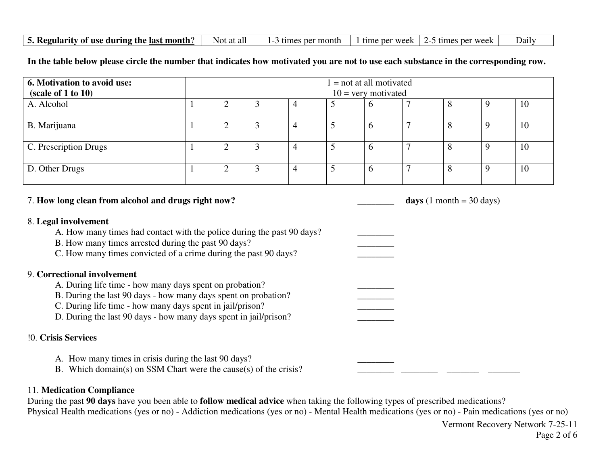|  | 5. Regularity of use during the last month? | Not at al | month<br>per | e ner week-<br>time | per week<br>$t$ mes | Daily |
|--|---------------------------------------------|-----------|--------------|---------------------|---------------------|-------|
|--|---------------------------------------------|-----------|--------------|---------------------|---------------------|-------|

**In the table below please circle the number that indicates how motivated you are not to use each substance in the corresponding row.**

| 6. Motivation to avoid use:<br>(scale of 1 to 10) | $1 = not at all motivated$<br>$10 =$ very motivated |        |  |                          |   |  |    |
|---------------------------------------------------|-----------------------------------------------------|--------|--|--------------------------|---|--|----|
| A. Alcohol                                        |                                                     | ∠      |  |                          | O |  | 10 |
| B. Marijuana                                      |                                                     | ി<br>∠ |  | $\overline{\mathcal{L}}$ | b |  | 10 |
| C. Prescription Drugs                             |                                                     | ∼      |  |                          |   |  | 10 |
| D. Other Drugs                                    |                                                     | ∸      |  |                          |   |  | 10 |

7. **How long clean from alcohol and drugs right now? \_\_\_\_\_\_\_\_ days** (1 month = 30 days)

8. **Legal involvement** 

A. How many times had contact with the police during the past 90 days?

B. How many times arrested during the past 90 days?

C. How many times convicted of a crime during the past 90 days?

### 9. **Correctional involvement**

A. During life time - how many days spent on probation?

B. During the last 90 days - how many days spent on probation?

C. During life time - how many days spent in jail/prison?

D. During the last 90 days - how many days spent in jail/prison?

#### !0. **Crisis Services**

A. How many times in crisis during the last 90 days? B. Which domain(s) on SSM Chart were the cause(s) of the crisis? \_\_\_\_\_\_\_\_ \_\_\_\_\_\_\_\_ \_\_\_\_\_\_\_ \_\_\_\_\_\_\_

#### 11. **Medication Compliance**

 During the past **90 days** have you been able to **follow medical advice** when taking the following types of prescribed medications? Physical Health medications (yes or no) - Addiction medications (yes or no) - Mental Health medications (yes or no) - Pain medications (yes or no)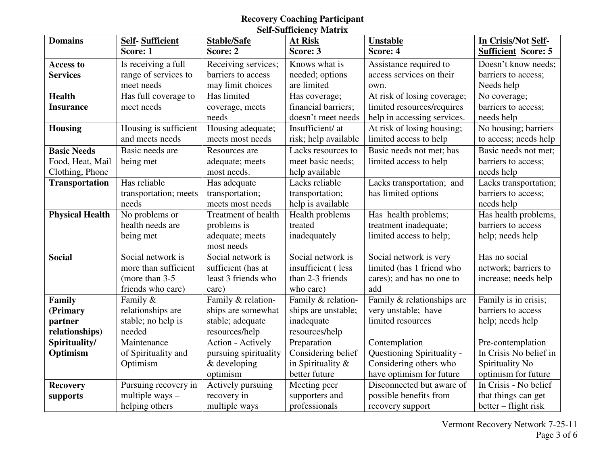# **Recovery Coaching Participant Self-Sufficiency Matrix**

| <b>Domains</b>         | <b>Self-Sufficient</b> | <b>Stable/Safe</b>    | <b>At Risk</b>       | <b>Unstable</b>             | In Crisis/Not Self-        |
|------------------------|------------------------|-----------------------|----------------------|-----------------------------|----------------------------|
|                        | Score: 1               | Score: 2              | Score: 3             | Score: 4                    | <b>Sufficient Score: 5</b> |
| <b>Access to</b>       | Is receiving a full    | Receiving services;   | Knows what is        | Assistance required to      | Doesn't know needs;        |
| <b>Services</b>        | range of services to   | barriers to access    | needed; options      | access services on their    | barriers to access;        |
|                        | meet needs             | may limit choices     | are limited          | own.                        | Needs help                 |
| <b>Health</b>          | Has full coverage to   | Has limited           | Has coverage;        | At risk of losing coverage; | No coverage;               |
| <b>Insurance</b>       | meet needs             | coverage, meets       | financial barriers;  | limited resources/requires  | barriers to access;        |
|                        |                        | needs                 | doesn't meet needs   | help in accessing services. | needs help                 |
| <b>Housing</b>         | Housing is sufficient  | Housing adequate;     | Insufficient/ at     | At risk of losing housing;  | No housing; barriers       |
|                        | and meets needs        | meets most needs      | risk; help available | limited access to help      | to access; needs help      |
| <b>Basic Needs</b>     | Basic needs are        | Resources are         | Lacks resources to   | Basic needs not met; has    | Basic needs not met:       |
| Food, Heat, Mail       | being met              | adequate; meets       | meet basic needs;    | limited access to help      | barriers to access;        |
| Clothing, Phone        |                        | most needs.           | help available       |                             | needs help                 |
| <b>Transportation</b>  | Has reliable           | Has adequate          | Lacks reliable       | Lacks transportation; and   | Lacks transportation;      |
|                        | transportation; meets  | transportation;       | transportation;      | has limited options         | barriers to access;        |
|                        | needs                  | meets most needs      | help is available    |                             | needs help                 |
| <b>Physical Health</b> | No problems or         | Treatment of health   | Health problems      | Has health problems;        | Has health problems,       |
|                        | health needs are       | problems is           | treated              | treatment inadequate;       | barriers to access         |
|                        | being met              | adequate; meets       | inadequately         | limited access to help;     | help; needs help           |
|                        |                        | most needs            |                      |                             |                            |
| <b>Social</b>          | Social network is      | Social network is     | Social network is    | Social network is very      | Has no social              |
|                        | more than sufficient   | sufficient (has at    | insufficient (less   | limited (has 1 friend who   | network; barriers to       |
|                        | (more than 3-5)        | least 3 friends who   | than 2-3 friends     | cares); and has no one to   | increase; needs help       |
|                        | friends who care)      | care)                 | who care)            | add                         |                            |
| Family                 | Family &               | Family & relation-    | Family & relation-   | Family & relationships are  | Family is in crisis;       |
| (Primary               | relationships are      | ships are somewhat    | ships are unstable;  | very unstable; have         | barriers to access         |
| partner                | stable; no help is     | stable; adequate      | inadequate           | limited resources           | help; needs help           |
| relationships)         | needed                 | resources/help        | resources/help       |                             |                            |
| Spirituality/          | Maintenance            | Action - Actively     | Preparation          | Contemplation               | Pre-contemplation          |
| Optimism               | of Spirituality and    | pursuing spirituality | Considering belief   | Questioning Spirituality -  | In Crisis No belief in     |
|                        | Optimism               | & developing          | in Spirituality $\&$ | Considering others who      | Spirituality No            |
|                        |                        | optimism              | better future        | have optimism for future    | optimism for future        |
| <b>Recovery</b>        | Pursuing recovery in   | Actively pursuing     | Meeting peer         | Disconnected but aware of   | In Crisis - No belief      |
| supports               | multiple ways $-$      | recovery in           | supporters and       | possible benefits from      | that things can get        |
|                        | helping others         | multiple ways         | professionals        | recovery support            | better – flight risk       |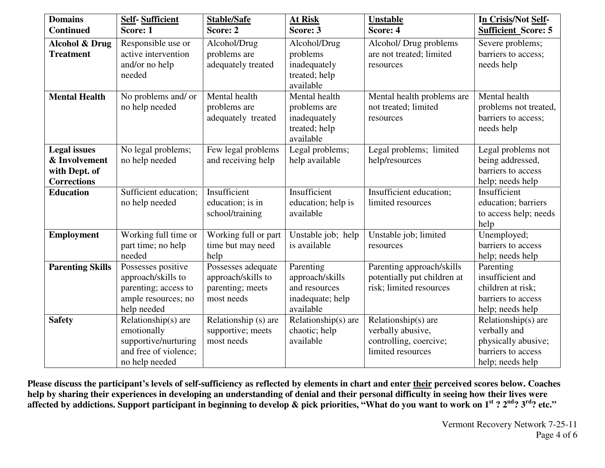| <b>Domains</b>                                                              | <b>Self-Sufficient</b>                                                                                 | <b>Stable/Safe</b>                                                         | At Risk                                                                        | <b>Unstable</b>                                                                         | In Crisis/Not Self-                                                                                      |
|-----------------------------------------------------------------------------|--------------------------------------------------------------------------------------------------------|----------------------------------------------------------------------------|--------------------------------------------------------------------------------|-----------------------------------------------------------------------------------------|----------------------------------------------------------------------------------------------------------|
| <b>Continued</b>                                                            | Score: 1                                                                                               | Score: 2                                                                   | Score: 3                                                                       | Score: 4                                                                                | <b>Sufficient Score: 5</b>                                                                               |
| <b>Alcohol &amp; Drug</b><br><b>Treatment</b>                               | Responsible use or<br>active intervention<br>and/or no help<br>needed                                  | Alcohol/Drug<br>problems are<br>adequately treated                         | Alcohol/Drug<br>problems<br>inadequately<br>treated; help<br>available         | Alcohol/ Drug problems<br>are not treated; limited<br>resources                         | Severe problems;<br>barriers to access;<br>needs help                                                    |
| <b>Mental Health</b>                                                        | No problems and/ or<br>no help needed                                                                  | Mental health<br>problems are<br>adequately treated                        | Mental health<br>problems are<br>inadequately<br>treated; help<br>available    | Mental health problems are<br>not treated; limited<br>resources                         | Mental health<br>problems not treated,<br>barriers to access;<br>needs help                              |
| <b>Legal</b> issues<br>& Involvement<br>with Dept. of<br><b>Corrections</b> | No legal problems;<br>no help needed                                                                   | Few legal problems<br>and receiving help                                   | Legal problems;<br>help available                                              | Legal problems; limited<br>help/resources                                               | Legal problems not<br>being addressed,<br>barriers to access<br>help; needs help                         |
| <b>Education</b>                                                            | Sufficient education;<br>no help needed                                                                | Insufficient<br>education; is in<br>school/training                        | Insufficient<br>education; help is<br>available                                | Insufficient education;<br>limited resources                                            | Insufficient<br>education; barriers<br>to access help; needs<br>help                                     |
| <b>Employment</b>                                                           | Working full time or<br>part time; no help<br>needed                                                   | Working full or part<br>time but may need<br>help                          | Unstable job; help<br>is available                                             | Unstable job; limited<br>resources                                                      | Unemployed;<br>barriers to access<br>help; needs help                                                    |
| <b>Parenting Skills</b>                                                     | Possesses positive<br>approach/skills to<br>parenting; access to<br>ample resources; no<br>help needed | Possesses adequate<br>approach/skills to<br>parenting; meets<br>most needs | Parenting<br>approach/skills<br>and resources<br>inadequate; help<br>available | Parenting approach/skills<br>potentially put children at<br>risk; limited resources     | Parenting<br>insufficient and<br>children at risk;<br>barriers to access<br>help; needs help             |
| <b>Safety</b>                                                               | Relationship(s) are<br>emotionally<br>supportive/nurturing<br>and free of violence;<br>no help needed  | Relationship (s) are<br>supportive; meets<br>most needs                    | Relationship(s) are<br>chaotic; help<br>available                              | Relationship(s) are<br>verbally abusive,<br>controlling, coercive;<br>limited resources | Relationship( $s$ ) are<br>verbally and<br>physically abusive;<br>barriers to access<br>help; needs help |

**Please discuss the participant's levels of self-sufficiency as reflected by elements in chart and enter their perceived scores below. Coaches** help by sharing their experiences in developing an understanding of denial and their personal difficulty in seeing how their lives were<br>affected by addictions. Support participant in beginning to develop & pick priorities,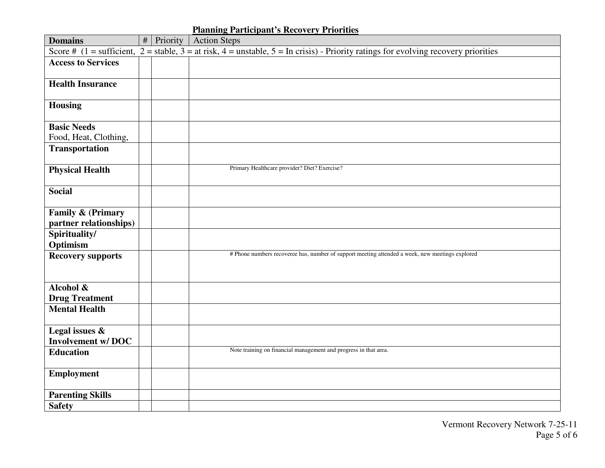## **Planning Participant's Recovery Priorities**

| <b>Domains</b>                              | # | Priority | <b>Action Steps</b>                                                                                                                                                     |
|---------------------------------------------|---|----------|-------------------------------------------------------------------------------------------------------------------------------------------------------------------------|
|                                             |   |          | Score # $(1 = \text{sufficient}, 2 = \text{stable}, 3 = \text{at risk}, 4 = \text{unstable}, 5 = \text{In crisis})$ - Priority ratings for evolving recovery priorities |
| <b>Access to Services</b>                   |   |          |                                                                                                                                                                         |
| <b>Health Insurance</b>                     |   |          |                                                                                                                                                                         |
| <b>Housing</b>                              |   |          |                                                                                                                                                                         |
| <b>Basic Needs</b><br>Food, Heat, Clothing, |   |          |                                                                                                                                                                         |
| <b>Transportation</b>                       |   |          |                                                                                                                                                                         |
| <b>Physical Health</b>                      |   |          | Primary Healthcare provider? Diet? Exercise?                                                                                                                            |
| <b>Social</b>                               |   |          |                                                                                                                                                                         |
| Family & (Primary<br>partner relationships) |   |          |                                                                                                                                                                         |
| Spirituality/<br>Optimism                   |   |          |                                                                                                                                                                         |
| <b>Recovery supports</b>                    |   |          | # Phone numbers recoveree has, number of support meeting attended a week, new meetings explored                                                                         |
| Alcohol &<br><b>Drug Treatment</b>          |   |          |                                                                                                                                                                         |
| <b>Mental Health</b>                        |   |          |                                                                                                                                                                         |
| Legal issues &<br><b>Involvement w/DOC</b>  |   |          |                                                                                                                                                                         |
| <b>Education</b>                            |   |          | Note training on financial management and progress in that area.                                                                                                        |
| <b>Employment</b>                           |   |          |                                                                                                                                                                         |
| <b>Parenting Skills</b>                     |   |          |                                                                                                                                                                         |
| <b>Safety</b>                               |   |          |                                                                                                                                                                         |